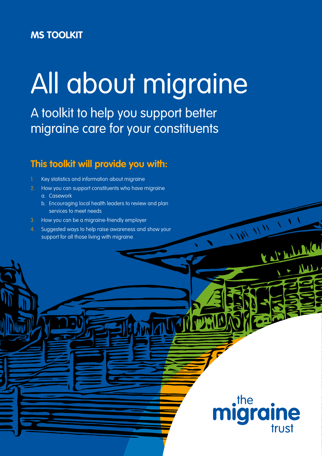# **MS TOOLKIT**

# All about migraine

 $\frac{1}{2}$ 

 $\Box$ the

igra

**ine** 

trust

Kal Andrew

A toolkit to help you support better migraine care for your constituents

# **This toolkit will provide you with:**

- Key statistics and information about migraine
- 2. How you can support constituents who have migraine
	- a. Casework
	- b. Encouraging local health leaders to review and plan services to meet needs
- 3. How you can be a migraine-friendly employer
- 4. Suggested ways to help raise awareness and show your support for all those living with migraine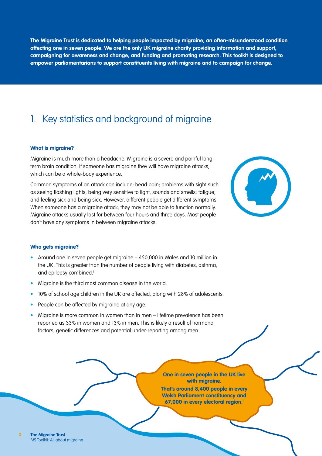**The Migraine Trust is dedicated to helping people impacted by migraine, an often-misunderstood condition affecting one in seven people. We are the only UK migraine charity providing information and support, campaigning for awareness and change, and funding and promoting research. This toolkit is designed to empower parliamentarians to support constituents living with migraine and to campaign for change.**

# 1. Key statistics and background of migraine

### **What is migraine?**

Migraine is much more than a headache. Migraine is a severe and painful longterm brain condition. If someone has migraine they will have migraine attacks, which can be a whole-body experience.

Common symptoms of an attack can include: head pain; problems with sight such as seeing flashing lights; being very sensitive to light, sounds and smells; fatigue; and feeling sick and being sick. However, different people get different symptoms. When someone has a migraine attack, they may not be able to function normally. Migraine attacks usually last for between four hours and three days. Most people don't have any symptoms in between migraine attacks.



### **Who gets migraine?**

- Around one in seven people get migraine 450,000 in Wales and 10 million in the UK. This is greater than the number of people living with diabetes, asthma, and epilepsy combined.<sup>i</sup>
- Migraine is the third most common disease in the world.
- 10% of school age children in the UK are affected, along with 28% of adolescents.
- People can be affected by migraine at any age.
- Migraine is more common in women than in men lifetime prevalence has been reported as 33% in women and 13% in men. This is likely a result of hormonal factors, genetic differences and potential under-reporting among men.

**One in seven people in the UK live with migraine. That's around 8,400 people in every** 

**Welsh Parliament constituency and 67,000 in every electoral region.i**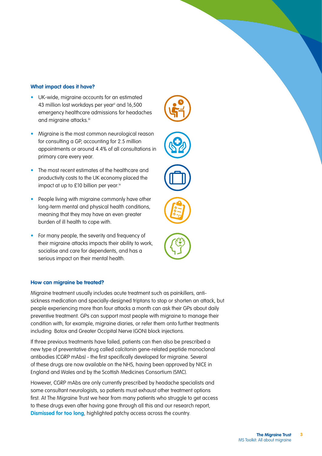### **What impact does it have?**

- UK-wide, migraine accounts for an estimated 43 million lost workdays per year<sup>ii</sup> and 16,500 emergency healthcare admissions for headaches and migraine attacks.iii
- Migraine is the most common neurological reason for consulting a GP, accounting for 2.5 million appointments or around 4.4% of all consultations in primary care every year.
- The most recent estimates of the healthcare and productivity costs to the UK economy placed the impact at up to £10 billion per year.iv
- People living with migraine commonly have other long-term mental and physical health conditions, meaning that they may have an even greater burden of ill health to cope with.
- For many people, the severity and frequency of their migraine attacks impacts their ability to work, socialise and care for dependents, and has a serious impact on their mental health.

### **How can migraine be treated?**

Migraine treatment usually includes acute treatment such as painkillers, antisickness medication and specially-designed triptans to stop or shorten an attack, but people experiencing more than four attacks a month can ask their GPs about daily preventive treatment. GPs can support most people with migraine to manage their condition with, for example, migraine diaries, or refer them onto further treatments including Botox and Greater Occipital Nerve (GON) block injections.

If three previous treatments have failed, patients can then also be prescribed a new type of preventative drug called calcitonin gene-related peptide monoclonal antibodies (CGRP mAbs) - the first specifically developed for migraine. Several of these drugs are now available on the NHS, having been approved by NICE in England and Wales and by the Scottish Medicines Consortium (SMC).

However, CGRP mAbs are only currently prescribed by headache specialists and some consultant neurologists, so patients must exhaust other treatment options first. At The Migraine Trust we hear from many patients who struggle to get access to these drugs even after having gone through all this and our research report, **[Dismissed for too long](https://migrainetrust.org/wp-content/uploads/2021/09/Dismissed-for-too-long_Recommendations-to-improve-migraine-care-in-the-UK.pdf)**, highlighted patchy access across the country.







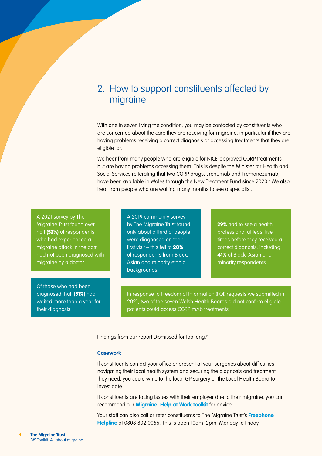### 2. How to support constituents affected by migraine

With one in seven living the condition, you may be contacted by constituents who are concerned about the care they are receiving for migraine, in particular if they are having problems receiving a correct diagnosis or accessing treatments that they are eligible for.

We hear from many people who are eligible for NICE-approved CGRP treatments but are having problems accessing them. This is despite the Minister for Health and Social Services reiterating that two CGRP drugs, Erenumab and Fremanezumab, have been available in Wales through the New Treatment Fund since 2020.<sup>v</sup> We also hear from people who are waiting many months to see a specialist.

A 2021 survey by The Migraine Trust found over half (52%) of respondents who had experienced a migraine attack in the past had not been diagnosed with migraine by a doctor.

Of those who had been diagnosed, half (51%) had waited more than a year for their diagnosis.

A 2019 community survey by The Migraine Trust found only about a third of people were diagnosed on their first visit – this fell to  $20\%$ of respondents from Black, Asian and minority ethnic backgrounds.

29% had to see a health professional at least five times before they received a correct diagnosis, including 41% of Black, Asian and minority respondents.

In response to Freedom of Information (FOI) requests we submitted in 2021, two of the seven Welsh Health Boards did not confirm eligible patients could access CGRP mAb treatments.

Findings from our report Dismissed for too long.vi

### **Casework**

If constituents contact your office or present at your surgeries about difficulties navigating their local health system and securing the diagnosis and treatment they need, you could write to the local GP surgery or the Local Health Board to investigate.

If constituents are facing issues with their employer due to their migraine, you can recommend our **[Migraine: Help at Work toolkit](https://migrainetrust.org/wp-content/uploads/2021/04/Migraine_Help-at-work-toolkit.pdf)** for advice.

Your staff can also call or refer constituents to The Migraine Trust's **[Freephone](https://migrainetrust.org/what-we-do/our-information-and-support-service/)  [Helpline](https://migrainetrust.org/what-we-do/our-information-and-support-service/)** at 0808 802 0066. This is open 10am–2pm, Monday to Friday.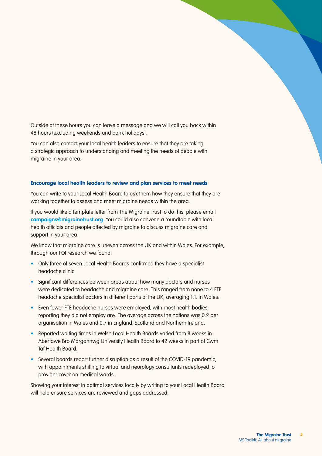Outside of these hours you can leave a message and we will call you back within 48 hours (excluding weekends and bank holidays).

You can also contact your local health leaders to ensure that they are taking a strategic approach to understanding and meeting the needs of people with migraine in your area.

### **Encourage local health leaders to review and plan services to meet needs**

You can write to your Local Health Board to ask them how they ensure that they are working together to assess and meet migraine needs within the area.

If you would like a template letter from The Migraine Trust to do this, please email **[campaigns@migrainetrust.org](mailto:campaigns%40migrainetrust.org?subject=)**. You could also convene a roundtable with local health officials and people affected by migraine to discuss migraine care and support in your area.

We know that migraine care is uneven across the UK and within Wales. For example, through our FOI research we found:

- Only three of seven Local Health Boards confirmed they have a specialist headache clinic.
- Significant differences between areas about how many doctors and nurses were dedicated to headache and migraine care. This ranged from none to 4 FTE headache specialist doctors in different parts of the UK, averaging 1.1. in Wales.
- Even fewer FTE headache nurses were employed, with most health bodies reporting they did not employ any. The average across the nations was 0.2 per organisation in Wales and 0.7 in England, Scotland and Northern Ireland.
- Reported waiting times in Welsh Local Health Boards varied from 8 weeks in Abertawe Bro Morgannwg University Health Board to 42 weeks in part of Cwm Taf Health Board.
- Several boards report further disruption as a result of the COVID-19 pandemic, with appointments shifting to virtual and neurology consultants redeployed to provider cover on medical wards.

Showing your interest in optimal services locally by writing to your Local Health Board will help ensure services are reviewed and gaps addressed.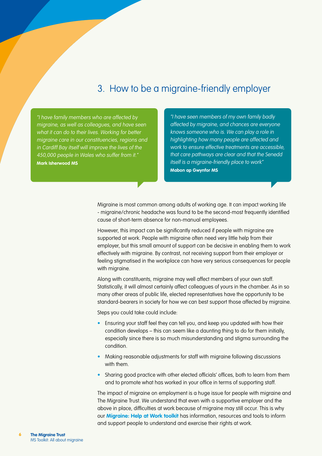# 3. How to be a migraine-friendly employer

"I have family members who are affected by migraine, as well as colleagues, and have seen what it can do to their lives. Working for better migraine care in our constituencies, regions and in Cardiff Bay itself will improve the lives of the 450,000 people in Wales who suffer from it." **Mark Isherwood MS**

"I have seen members of my own family badly affected by migraine, and chances are everyone knows someone who is. We can play a role in highlighting how many people are affected and work to ensure effective treatments are accessible, that care pathways are clear and that the Senedd itself is a migraine-friendly place to work" **Mabon ap Gwynfor MS**

Migraine is most common among adults of working age. It can impact working life - migraine/chronic headache was found to be the second-most frequently identified cause of short-term absence for non-manual employees.

However, this impact can be significantly reduced if people with migraine are supported at work. People with migraine often need very little help from their employer, but this small amount of support can be decisive in enabling them to work effectively with migraine. By contrast, not receiving support from their employer or feeling stigmatised in the workplace can have very serious consequences for people with migraine.

Along with constituents, migraine may well affect members of your own staff. Statistically, it will almost certainly affect colleagues of yours in the chamber. As in so many other areas of public life, elected representatives have the opportunity to be standard-bearers in society for how we can best support those affected by migraine.

Steps you could take could include:

- Ensuring your staff feel they can tell you, and keep you updated with how their condition develops – this can seem like a daunting thing to do for them initially, especially since there is so much misunderstanding and stigma surrounding the condition.
- Making reasonable adjustments for staff with migraine following discussions with them.
- Sharing good practice with other elected officials' offices, both to learn from them and to promote what has worked in your office in terms of supporting staff.

The impact of migraine on employment is a huge issue for people with migraine and The Migraine Trust. We understand that even with a supportive employer and the above in place, difficulties at work because of migraine may still occur. This is why our **[Migraine: Help at Work toolkit](https://migrainetrust.org/wp-content/uploads/2021/04/Migraine_Help-at-work-toolkit.pdf)** has information, resources and tools to inform and support people to understand and exercise their rights at work.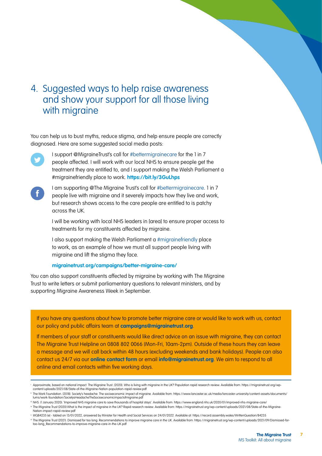# 4. Suggested ways to help raise awareness and show your support for all those living with migraine

You can help us to bust myths, reduce stigma, and help ensure people are correctly diagnosed. Here are some suggested social media posts:



I support @MigraineTrust's call for #bettermigrainecare for the 1 in 7 people affected. I will work with our local NHS to ensure people get the treatment they are entitled to, and I support making the Welsh Parliament a #migrainefriendly place to work. **<https://bit.ly/3GuLhps>**



I am supporting @The Migraine Trust's call for #bettermigrainecare. 1 in 7 people live with migraine and it severely impacts how they live and work, but research shows access to the care people are entitled to is patchy across the UK.

I will be working with local NHS leaders in [area] to ensure proper access to treatments for my constituents affected by migraine.

I also support making the Welsh Parliament a #migrainefriendly place to work, as an example of how we must all support people living with migraine and lift the stigma they face.

### **[migrainetrust.org/campaigns/better-migraine-care/](https://migrainetrust.org/campaigns/better-migraine-care/)**

You can also support constituents affected by migraine by working with The Migraine Trust to write letters or submit parliamentary questions to relevant ministers, and by supporting Migraine Awareness Week in September.

If you have any questions about how to promote better migraine care or would like to work with us, contact our policy and public affairs team at **[campaigns@migrainetrust.org](mailto:campaigns%40migrainetrust.org?subject=)**.

If members of your staff or constituents would like direct advice on an issue with migraine, they can contact The Migraine Trust Helpline on 0808 802 0066 (Mon-Fri, 10am-2pm). Outside of these hours they can leave a message and we will call back within 48 hours (excluding weekends and bank holidays). People can also contact us 24/7 via our **[online contact form](https://migraine2020.wpengine.com/contact-us/)** or email **[info@migrainetrust.org](mailto:info%40migrainetrust.org?subject=)**. We aim to respond to all online and email contacts within five working days.

**7**

Approximate, based on national impact. The Migraine Trust. (2020). Who is living with migraine in the UK? Population rapid research review. Available from: [https://migrainetrust.org/wp](https://migrainetrust.org/wp-content/uploads/2021/08/State-of-the-Migraine-Nation-population-rapid-review.pdf)[content/uploads/2021/08/State-of-the-Migraine-Nation-population-rapid-review.pdf](https://migrainetrust.org/wp-content/uploads/2021/08/State-of-the-Migraine-Nation-population-rapid-review.pdf)

ii The Work Foundation. (2018). Society's headache: The socioeconomic impact of migraine. Available from: [https://www.lancaster.ac.uk/media/lancaster-university/content-assets/documents/](https://www.lancaster.ac.uk/media/lancaster-university/content-assets/documents/lums/work-foundation/SocietysHeadacheTheSocioeconomicimpactofmigraine.pdf) [lums/work-foundation/SocietysHeadacheTheSocioeconomicimpactofmigraine.pdf](https://www.lancaster.ac.uk/media/lancaster-university/content-assets/documents/lums/work-foundation/SocietysHeadacheTheSocioeconomicimpactofmigraine.pdf)

iii NHS. (1 January 2020). 'Improved NHS migraine care to save thousands of hospital stays'. Available from: <https://www.england.nhs.uk/2020/01/improved-nhs-migraine-care/>

iv The Migraine Trust (2020) What is the impact of migraine in the UK? Rapid research review. Available from: [https://migrainetrust.org/wp-content/uploads/2021/08/State-of-the-Migraine-](https://migrainetrust.org/wp-content/uploads/2021/08/State-of-the-Migraine-Nation-impact-rapid-review.pdf)[Nation-impact-rapid-review.pdf](https://migrainetrust.org/wp-content/uploads/2021/08/State-of-the-Migraine-Nation-impact-rapid-review.pdf)

<sup>v</sup> WQ84235 (e) - tabled on 13/01/2022, answered by Minister for Health and Social Services on 24/01/2022. Available at:<https://record.assembly.wales/WrittenQuestion/84235>

<sup>&</sup>quot; The Migraine Trust (2021). Dismissed for too long: Recommendations to improve migraine care in the UK. Available from: https://migrainetrust.org/wp-content/uploads/2021/09/Dismissed-for<br>too-long\_Recommendations-to-improv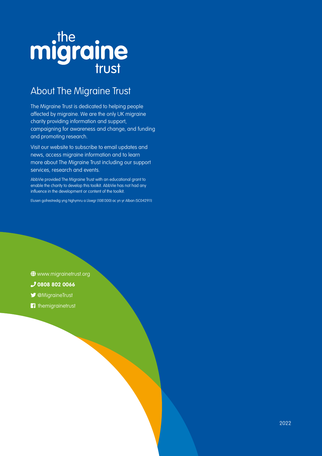# migraine

# About The Migraine Trust

The Migraine Trust is dedicated to helping people affected by migraine. We are the only UK migraine charity providing information and support, campaigning for awareness and change, and funding and promoting research.

Visit our website to subscribe to email updates and news, access migraine information and to learn more about The Migraine Trust including our support services, research and events.

AbbVie provided The Migraine Trust with an educational grant to enable the charity to develop this toolkit. AbbVie has not had any influence in the development or content of the toolkit.

Elusen gofrestredig yng Nghymru a Lloegr (1081300) ac yn yr Alban (SC042911)

 $\bigcirc$  [www.migrainetrust.org](https://migrainetrust.org)

- **J** 0808 802 0066
- *MigraineTrust*
- **f** themigrainetrust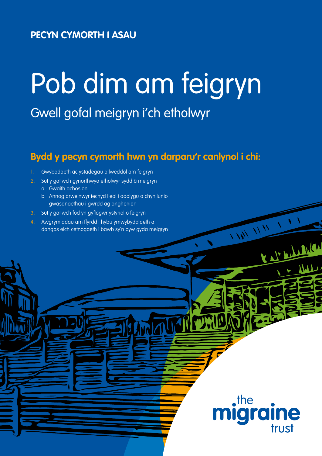# **PECYN CYMORTH I ASAU**

# Pob dim am feigryn

Gwell gofal meigryn i'ch etholwyr

# **Bydd y pecyn cymorth hwn yn darparu'r canlynol i chi:**

- 1. Gwybodaeth ac ystadegau allweddol am feigryn
- 2. Sut y gallwch gynorthwyo etholwyr sydd â meigryn
	- a. Gwaith achosion
	- b. Annog arweinwyr iechyd lleol i adolygu a chynllunio gwasanaethau i gwrdd ag anghenion
- 3. Sut y gallwch fod yn gyflogwr ystyriol o feigryn
- 4. Awgrymiadau am ffyrdd i hybu ymwybyddiaeth a dangos eich cefnogaeth i bawb sy'n byw gyda meigryn

 $\cdot$ the **gra** le trust

 $\frac{1}{2}$ 

Kal Andrew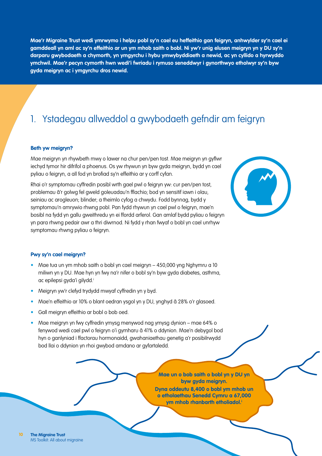**Mae'r Migraine Trust wedi ymrwymo i helpu pobl sy'n cael eu heffeithio gan feigryn, anhwylder sy'n cael ei gamddeall yn aml ac sy'n effeithio ar un ym mhob saith o bobl. Ni yw'r unig elusen meigryn yn y DU sy'n darparu gwybodaeth a chymorth, yn ymgyrchu i hybu ymwybyddiaeth a newid, ac yn cyllido a hyrwyddo ymchwil. Mae'r pecyn cymorth hwn wedi'i fwriadu i rymuso seneddwyr i gynorthwyo etholwyr sy'n byw gyda meigryn ac i ymgyrchu dros newid.**

# 1. Ystadegau allweddol a gwybodaeth gefndir am feigryn

### **Beth yw meigryn?**

Mae meigryn yn rhywbeth mwy o lawer na chur pen/pen tost. Mae meigryn yn gyflwr iechyd tymor hir difrifol a phoenus. Os yw rhywun yn byw gyda meigryn, bydd yn cael pyliau o feigryn, a all fod yn brofiad sy'n effeithio ar y corff cyfan.

Rhai o'r symptomau cyffredin posibl wrth gael pwl o feigryn yw: cur pen/pen tost, problemau â'r golwg fel gweld goleuadau'n fflachio; bod yn sensitif iawn i olau, seiniau ac arogleuon; blinder; a theimlo cyfog a chwydu. Fodd bynnag, bydd y symptomau'n amrywio rhwng pobl. Pan fydd rhywun yn cael pwl o feigryn, mae'n bosibl na fydd yn gallu gweithredu yn ei ffordd arferol. Gan amlaf bydd pyliau o feigryn yn para rhwng pedair awr a thri diwrnod. Ni fydd y rhan fwyaf o bobl yn cael unrhyw symptomau rhwng pyliau o feigryn.



#### **Pwy sy'n cael meigryn?**

- Mae tua un ym mhob saith o bobl yn cael meigryn 450,000 yng Nghymru a 10 miliwn yn y DU. Mae hyn yn fwy na'r nifer o bobl sy'n byw gyda diabetes, asthma, ac epilepsi gyda'i gilydd.<sup>i</sup>
- Meigryn yw'r clefyd trydydd mwyaf cyffredin yn y byd.
- Mae'n effeithio ar 10% o blant oedran ysgol yn y DU, ynghyd â 28% o'r glasoed.
- Gall meigryn effeithio ar bobl o bob oed.
- Mae meigryn yn fwy cyffredin ymysg menywod nag ymysg dynion mae 64% o fenywod wedi cael pwl o feigryn o'i gymharu â 41% o ddynion. Mae'n debygol bod hyn o ganlyniad i ffactorau hormonaidd, gwahaniaethau genetig a'r posibilrwydd bod llai o ddynion yn rhoi gwybod amdano ar gyfartaledd.

**Mae un o bob saith o bobl yn y DU yn byw gyda meigryn. Dyna oddeutu 8,400 o bobl ym mhob un o etholaethau Senedd Cymru a 67,000 ym mhob rhanbarth etholiadol.i**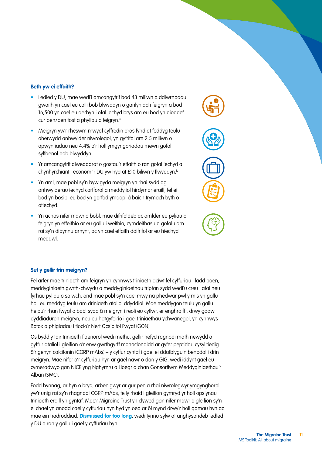### **Beth yw ei effaith?**

- Ledled y DU, mae wedi'i amcangyfrif bod 43 miliwn o ddiwrnodau gwaith yn cael eu colli bob blwyddyn o ganlyniad i feigryn a bod 16,500 yn cael eu derbyn i ofal iechyd brys am eu bod yn dioddef cur pen/pen tost a phyliau o feigryn.iii
- Meigryn yw'r rheswm mwyaf cyffredin dros fynd at feddyg teulu oherwydd anhwylder niwrolegol, yn gyfrifol am 2.5 miliwn o apwyntiadau neu 4.4% o'r holl ymgyngoriadau mewn gofal sylfaenol bob blwyddyn.
- Yr amcangyfrif diweddaraf o gostau'r effaith o ran gofal iechyd a chynhyrchiant i economi'r DU yw hyd at £10 biliwn y flwyddyn.<sup>iv</sup>
- Yn aml, mae pobl sy'n byw gyda meigryn yn rhai sydd ag anhwylderau iechyd corfforol a meddyliol hirdymor eraill, fel ei bod yn bosibl eu bod yn gorfod ymdopi â baich trymach byth o afiechyd.
- Yn achos nifer mawr o bobl, mae difrifoldeb ac amlder eu pyliau o feigryn yn effeithio ar eu gallu i weithio, cymdeithasu a gofalu am rai sy'n dibynnu arnynt, ac yn cael effaith ddifrifol ar eu hiechyd meddwl.





### **Sut y gellir trin meigryn?**

Fel arfer mae triniaeth am feigryn yn cynnwys triniaeth acíwt fel cyffuriau i ladd poen, meddyginiaeth gwrth-chwydu a meddyginiaethau triptan sydd wedi'u creu i atal neu fyrhau pyliau o salwch, ond mae pobl sy'n cael mwy na phedwar pwl y mis yn gallu holi eu meddyg teulu am driniaeth ataliol ddyddiol. Mae meddygon teulu yn gallu helpu'r rhan fwyaf o bobl sydd â meigryn i reoli eu cyflwr, er enghraifft, drwy gadw dyddiaduron meigryn, neu eu hatgyfeirio i gael triniaethau ychwanegol, yn cynnwys Botox a phigiadau i flocio'r Nerf Ocsipitol Fwyaf (GON).

Os bydd y tair triniaeth flaenorol wedi methu, gellir hefyd ragnodi math newydd o gyffur ataliol i gleifion o'r enw gwrthgyrff monoclonaidd ar gyfer peptidau cysylltiedig â'r genyn calcitonin (CGRP mAbs) – y cyffur cyntaf i gael ei ddatblygu'n benodol i drin meigryn. Mae nifer o'r cyffuriau hyn ar gael nawr o dan y GIG, wedi iddynt gael eu cymeradwyo gan NICE yng Nghymru a Lloegr a chan Gonsortiwm Meddyginiaethau'r Alban (SMC).

Fodd bynnag, ar hyn o bryd, arbenigwyr ar gur pen a rhai niwrolegwyr ymgynghorol yw'r unig rai sy'n rhagnodi CGRP mAbs, felly rhaid i gleifion gymryd yr holl opsiynau triniaeth eraill yn gyntaf. Mae'r Migraine Trust yn clywed gan nifer mawr o gleifion sy'n ei chael yn anodd cael y cyffuriau hyn hyd yn oed ar ôl mynd drwy'r holl gamau hyn ac mae ein hadroddiad, **[Dismissed for too long](https://migrainetrust.org/wp-content/uploads/2021/09/Dismissed-for-too-long_Recommendations-to-improve-migraine-care-in-the-UK.pdf)**, wedi tynnu sylw at anghysondeb ledled y DU o ran y gallu i gael y cyffuriau hyn.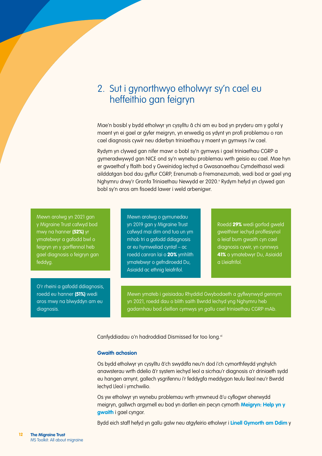# 2. Sut i gynorthwyo etholwyr sy'n cael eu heffeithio gan feigryn

Mae'n bosibl y bydd etholwyr yn cysylltu â chi am eu bod yn pryderu am y gofal y maent yn ei gael ar gyfer meigryn, yn enwedig os ydynt yn profi problemau o ran cael diagnosis cywir neu dderbyn triniaethau y maent yn gymwys i'w cael.

Rydym yn clywed gan nifer mawr o bobl sy'n gymwys i gael triniaethau CGRP a gymeradwywyd gan NICE ond sy'n wynebu problemau wrth geisio eu cael. Mae hyn er gwaethaf y ffaith bod y Gweinidog Iechyd a Gwasanaethau Cymdeithasol wedi ailddatgan bod dau gyffur CGRP, Erenumab a Fremanezumab, wedi bod ar gael yng Nghymru drwy'r Gronfa Triniaethau Newydd er 2020.<sup>,</sup> Rydym hefyd yn clywed gan bobl sy'n aros am fisoedd lawer i weld arbenigwr.

Mewn arolwg yn 2021 gan y Migraine Trust cafwyd bod mwy na hanner (52%) yr ymatebwyr a gafodd bwl o feigryn yn y gorffennol heb gael diagnosis o feigryn gan feddyg.

O'r rheini a gafodd ddiagnosis, roedd eu hanner (51%) wedi aros mwy na blwyddyn am eu diagnosis.

Mewn arolwg o gymunedau yn 2019 gan y Migraine Trust cafwyd mai dim ond tua un ym mhob tri a gafodd ddiagnosis ar eu hymweliad cyntaf – ac roedd canran lai o 20% ymhlith ymatebwyr o gefndiroedd Du, Asiaidd ac ethnig leiafrifol.

Roedd 29% wedi gorfod gweld gweithiwr iechyd proffesiynol o leiaf bum gwaith cyn cael diagnosis cywir, yn cynnwys 41% o ymatebwyr Du, Asiaidd a Lleiafrifol.

Mewn ymateb i geisiadau Rhyddid Gwybodaeth a gyflwynwyd gennym yn 2021, roedd dau o blith saith Bwrdd Iechyd yng Nghymru heb gadarnhau bod cleifion cymwys yn gallu cael triniaethau CGRP mAb.

Canfyddiadau o'n hadroddiad Dismissed for too long.<sup>vi</sup>

### **Gwaith achosion**

Os bydd etholwyr yn cysylltu â'ch swyddfa neu'n dod i'ch cymorthfeydd ynghylch anawsterau wrth ddelio â'r system iechyd leol a sicrhau'r diagnosis a'r driniaeth sydd eu hangen arnynt, gallech ysgrifennu i'r feddygfa meddygon teulu lleol neu'r Bwrdd Iechyd Lleol i ymchwilio.

Os yw etholwyr yn wynebu problemau wrth ymwneud â'u cyflogwr oherwydd meigryn, gallwch argymell eu bod yn darllen ein pecyn cymorth **[Meigryn: Help yn y](https://migrainetrust.org/wp-content/uploads/2021/04/Migraine_Help-at-work-toolkit.pdf)  [gwaith](https://migrainetrust.org/wp-content/uploads/2021/04/Migraine_Help-at-work-toolkit.pdf)** i gael cyngor.

Bydd eich staff hefyd yn gallu galw neu atgyfeirio etholwyr i **[Linell Gymorth am Ddim](https://migrainetrust.org/what-we-do/our-information-and-support-service/)** y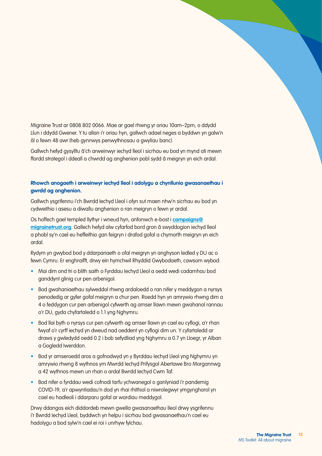Migraine Trust ar 0808 802 0066. Mae ar gael rhwng yr oriau 10am–2pm, o ddydd Llun i ddydd Gwener. Y tu allan i'r oriau hyn, gallwch adael neges a byddwn yn galw'n ôl o fewn 48 awr (heb gynnwys penwythnosau a gwyliau banc).

Gallwch hefyd gysylltu â'ch arweinwyr iechyd lleol i sicrhau eu bod yn mynd ati mewn ffordd strategol i ddeall a chwrdd ag anghenion pobl sydd â meigryn yn eich ardal.

### **Rhowch anogaeth i arweinwyr iechyd lleol i adolygu a chynllunio gwasanaethau i gwrdd ag anghenion.**

Gallwch ysgrifennu i'ch Bwrdd Iechyd Lleol i ofyn sut maen nhw'n sicrhau eu bod yn cydweithio i asesu a diwallu anghenion o ran meigryn o fewn yr ardal.

Os hoffech gael templed llythyr i wneud hyn, anfonwch e-bost i **[campaigns@](mailto:campaigns%40migrainetrust.org?subject=) [migrainetrust.org](mailto:campaigns%40migrainetrust.org?subject=)**. Gallech hefyd alw cyfarfod bord gron â swyddogion iechyd lleol a phobl sy'n cael eu heffeithio gan feigryn i drafod gofal a chymorth meigryn yn eich ardal.

Rydym yn gwybod bod y ddarpariaeth o ofal meigryn yn anghyson ledled y DU ac o fewn Cymru. Er enghraifft, drwy ein hymchwil Rhyddid Gwybodaeth, cawsom wybod:

- Mai dim ond tri o blith saith o Fyrddau Iechyd Lleol a oedd wedi cadarnhau bod ganddynt glinig cur pen arbenigol.
- Bod gwahaniaethau sylweddol rhwng ardaloedd o ran nifer y meddygon a nyrsys penodedig ar gyfer gofal meigryn a chur pen. Roedd hyn yn amrywio rhwng dim a 4 o feddygon cur pen arbenigol cyfwerth ag amser llawn mewn gwahanol rannau o'r DU, gyda chyfartaledd o 1.1 yng Nghymru.
- Bod llai byth o nyrsys cur pen cyfwerth ag amser llawn yn cael eu cyflogi, a'r rhan fwyaf o'r cyrff iechyd yn dweud nad oeddent yn cyflogi dim un. Y cyfartaledd ar draws y gwledydd oedd 0.2 i bob sefydliad yng Nghymru a 0.7 yn Lloegr, yr Alban a Gogledd Iwerddon.
- Bod yr amseroedd aros a gofnodwyd yn y Byrddau Iechyd Lleol yng Nghymru yn amrywio rhwng 8 wythnos ym Mwrdd Iechyd Prifysgol Abertawe Bro Morgannwg a 42 wythnos mewn un rhan o ardal Bwrdd Iechyd Cwm Taf.
- Bod nifer o fyrddau wedi cofnodi tarfu ychwanegol o ganlyniad i'r pandemig COVID-19, a'r apwyntiadau'n dod yn rhai rhithiol a niwrolegwyr ymgynghorol yn cael eu hadleoli i ddarparu gofal ar wardiau meddygol.

Drwy ddangos eich diddordeb mewn gwella gwasanaethau lleol drwy ysgrifennu i'r Bwrdd Iechyd Lleol, byddwch yn helpu i sicrhau bod gwasanaethau'n cael eu hadolygu a bod sylw'n cael ei roi i unrhyw fylchau.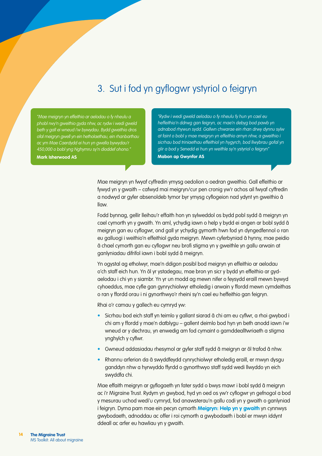# 3. Sut i fod yn gyflogwr ystyriol o feigryn

"Mae meigryn yn effeithio ar aelodau o fy nheulu a phobl rwy'n gweithio gyda nhw, ac rydw i wedi gweld beth y gall ei wneud i'w bywydau. Bydd gweithio dros ofal meigryn gwell yn ein hetholaethau, ein rhanbarthau ac ym Mae Caerdydd ei hun yn gwella bywydau'r 450,000 o bobl yng Nghymru sy'n dioddef ohono." **Mark Isherwood AS**

"Rydw i wedi gweld aelodau o fy nheulu fy hun yn cael eu heffeithio'n ddrwg gan feigryn, ac mae'n debyg bod pawb yn adnabod rhywun sydd. Gallwn chwarae ein rhan drwy dynnu sylw at faint o bobl y mae meigryn yn effeithio arnyn nhw, a gweithio i sicrhau bod triniaethau effeithiol yn hygyrch, bod llwybrau gofal yn glir a bod y Senedd ei hun yn weithle sy'n ystyriol o feigryn" **Mabon ap Gwynfor AS**

Mae meigryn yn fwyaf cyffredin ymysg oedolion o oedran gweithio. Gall effeithio ar fywyd yn y gwaith – cafwyd mai meigryn/cur pen cronig yw'r achos ail fwyaf cyffredin a nodwyd ar gyfer absenoldeb tymor byr ymysg cyflogeion nad ydynt yn gweithio â llaw.

Fodd bynnag, gellir lleihau'r effaith hon yn sylweddol os bydd pobl sydd â meigryn yn cael cymorth yn y gwaith. Yn aml, ychydig iawn o help y bydd ei angen ar bobl sydd â meigryn gan eu cyflogwr, ond gall yr ychydig gymorth hwn fod yn dyngedfennol o ran eu galluogi i weithio'n effeithiol gyda meigryn. Mewn cyferbyniad â hynny, mae peidio â chael cymorth gan eu cyflogwr neu brofi stigma yn y gweithle yn gallu arwain at ganlyniadau difrifol iawn i bobl sydd â meigryn.

Yn ogystal ag etholwyr, mae'n ddigon posibl bod meigryn yn effeithio ar aelodau o'ch staff eich hun. Yn ôl yr ystadegau, mae bron yn sicr y bydd yn effeithio ar gydaelodau i chi yn y siambr. Yn yr un modd ag mewn nifer o feysydd eraill mewn bywyd cyhoeddus, mae cyfle gan gynrychiolwyr etholedig i arwain y ffordd mewn cymdeithas o ran y ffordd orau i ni gynorthwyo'r rheini sy'n cael eu heffeithio gan feigryn.

Rhai o'r camau y gallech eu cymryd yw:

- Sicrhau bod eich staff yn teimlo y gallant siarad â chi am eu cyflwr, a rhoi gwybod i chi am y ffordd y mae'n datblygu – gallent deimlo bod hyn yn beth anodd iawn i'w wneud ar y dechrau, yn enwedig am fod cymaint o gamddealltwriaeth a stigma ynghylch y cyflwr.
- Gwneud addasiadau rhesymol ar gyfer staff sydd â meigryn ar ôl trafod â nhw.
- Rhannu arferion da â swyddfeydd cynrychiolwyr etholedig eraill, er mwyn dysgu ganddyn nhw a hyrwyddo ffyrdd o gynorthwyo staff sydd wedi llwyddo yn eich swyddfa chi.

Mae effaith meigryn ar gyflogaeth yn fater sydd o bwys mawr i bobl sydd â meigryn ac i'r Migraine Trust. Rydym yn gwybod, hyd yn oed os yw'r cyflogwr yn gefnogol a bod y mesurau uchod wedi'u cymryd, fod anawsterau'n gallu codi yn y gwaith o ganlyniad i feigryn. Dyma pam mae ein pecyn cymort[h](https://migrainetrust.org/wp-content/uploads/2021/04/Migraine_Help-at-work-toolkit.pdf) **[Meigryn: Help yn y gwaith](https://migrainetrust.org/wp-content/uploads/2021/04/Migraine_Help-at-work-toolkit.pdf)** yn cynnwys gwybodaeth, adnoddau ac offer i roi cymorth a gwybodaeth i bobl er mwyn iddynt ddeall ac arfer eu hawliau yn y gwaith.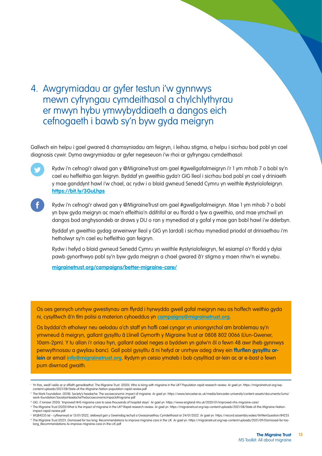# 4. Awgrymiadau ar gyfer testun i'w gynnwys mewn cyfryngau cymdeithasol a chylchlythyrau er mwyn hybu ymwybyddiaeth a dangos eich cefnogaeth i bawb sy'n byw gyda meigryn

Gallwch ein helpu i gael gwared â chamsyniadau am feigryn, i leihau stigma, a helpu i sicrhau bod pobl yn cael diagnosis cywir. Dyma awgrymiadau ar gyfer negeseuon i'w rhoi ar gyfryngau cymdeithasol:

Rydw i'n cefnogi'r alwad gan y @MigraineTrust am gael #gwellgofalmeigryn i'r 1 ym mhob 7 o bobl sy'n cael eu heffeithio gan feigryn. Byddaf yn gweithio gyda'r GIG lleol i sicrhau bod pobl yn cael y driniaeth y mae ganddynt hawl i'w chael, ac rydw i o blaid gwneud Senedd Cymru yn weithle #ystyriolofeigryn. **<https://bit.ly/3GuLhps>**

Rydw i'n cefnogi'r alwad gan y @MigraineTrust am gael #gwellgofalmeigryn. Mae 1 ym mhob 7 o bobl yn byw gyda meigryn ac mae'n effeithio'n ddifrifol ar eu ffordd o fyw a gweithio, ond mae ymchwil yn dangos bod anghysondeb ar draws y DU o ran y mynediad at y gofal y mae gan bobl hawl i'w dderbyn.

Byddaf yn gweithio gydag arweinwyr lleol y GIG yn [ardal] i sicrhau mynediad priodol at driniaethau i'm hetholwyr sy'n cael eu heffeithio gan feigryn.

Rydw i hefyd o blaid gwneud Senedd Cymru yn weithle #ystyriolofeigryn, fel esiampl o'r ffordd y dylai pawb gynorthwyo pobl sy'n byw gyda meigryn a chael gwared â'r stigma y maen nhw'n ei wynebu.

**[migrainetrust.org/campaigns/better-migraine-care/](https://migrainetrust.org/campaigns/better-migraine-care/)**

Os oes gennych unrhyw gwestiynau am ffyrdd i hyrwyddo gwell gofal meigryn neu os hoffech weithio gyda ni, cysylltwch â'n tîm polisi a materion cyhoeddus yn **[campaigns@migrainetrust.org](mailto:campaigns%40migrainetrust.org?subject=)**.

Os byddai'ch etholwyr neu aelodau o'ch staff yn hoffi cael cyngor yn uniongyrchol am broblemau sy'n ymwneud â meigryn, gallant gysylltu â Llinell Gymorth y Migraine Trust ar 0808 802 0066 (Llun-Gwener, 10am-2pm). Y tu allan i'r oriau hyn, gallant adael neges a byddwn yn galw'n ôl o fewn 48 awr (heb gynnwys penwythnosau a gwyliau banc). Gall pobl gysylltu â ni hefyd ar unrhyw adeg drwy ein **[ffurflen gysylltu ar](https://migraine2020.wpengine.com/contact-us/)[lein](https://migraine2020.wpengine.com/contact-us/)** or email **[info@migrainetrust.org](mailto:info%40migrainetrust.org?subject=)**. Rydym yn ceisio ymateb i bob cysylltiad ar-lein ac ar e-bost o fewn pum diwrnod gwaith.

<sup>i</sup> Yn fras, wedi'i seilio ar yr effaith genedlaethol. The Migraine Trust. (2020). Who is living with migraine in the UK? Population rapid research review. Ar gael yn: [https://migrainetrust.org/wp](https://migrainetrust.org/wp-content/uploads/2021/08/State-of-the-Migraine-Nation-population-rapid-review.pdf)[content/uploads/2021/08/State-of-the-Migraine-Nation-population-rapid-review.pdf](https://migrainetrust.org/wp-content/uploads/2021/08/State-of-the-Migraine-Nation-population-rapid-review.pdf)

ii The Work Foundation. (2018). Society's headache: The socioeconomic impact of migraine. Ar gael yn: [https://www.lancaster.ac.uk/media/lancaster-university/content-assets/documents/lums/](https://www.lancaster.ac.uk/media/lancaster-university/content-assets/documents/lums/work-foundation/SocietysHeadacheTheSocioeconomicimpactofmigraine.pdf) [work-foundation/SocietysHeadacheTheSocioeconomicimpactofmigraine.pdf](https://www.lancaster.ac.uk/media/lancaster-university/content-assets/documents/lums/work-foundation/SocietysHeadacheTheSocioeconomicimpactofmigraine.pdf)

iii GIG. (1 Ionawr 2020). 'Improved NHS migraine care to save thousands of hospital stays'. Ar gael yn:<https://www.england.nhs.uk/2020/01/improved-nhs-migraine-care/>

iv The Migraine Trust (2020) What is the impact of migraine in the UK? Rapid research review. Ar gael yn: [https://migrainetrust.org/wp-content/uploads/2021/08/State-of-the-Migraine-Nation](https://migrainetrust.org/wp-content/uploads/2021/08/State-of-the-Migraine-Nation-impact-rapid-review.pdf)[impact-rapid-review.pdf](https://migrainetrust.org/wp-content/uploads/2021/08/State-of-the-Migraine-Nation-impact-rapid-review.pdf)

<sup>v</sup> WQ84235 (e) – cyflwynwyd ar 13/01/2022, atebwyd gan y Gweinidog Iechyd a Gwasanaethau Cymdeithasol ar 24/01/2022. Ar gael yn:<https://record.assembly.wales/WrittenQuestion/84235> " The Migraine Trust (2021). Dismissed for too long: Recommendations to improve migraine care in the UK. Ar gael yn: https://migrainetrust.org/wp-content/uploads/2021/09/Dismissed-for-too-<br>| long\_Recommendations-to-improve